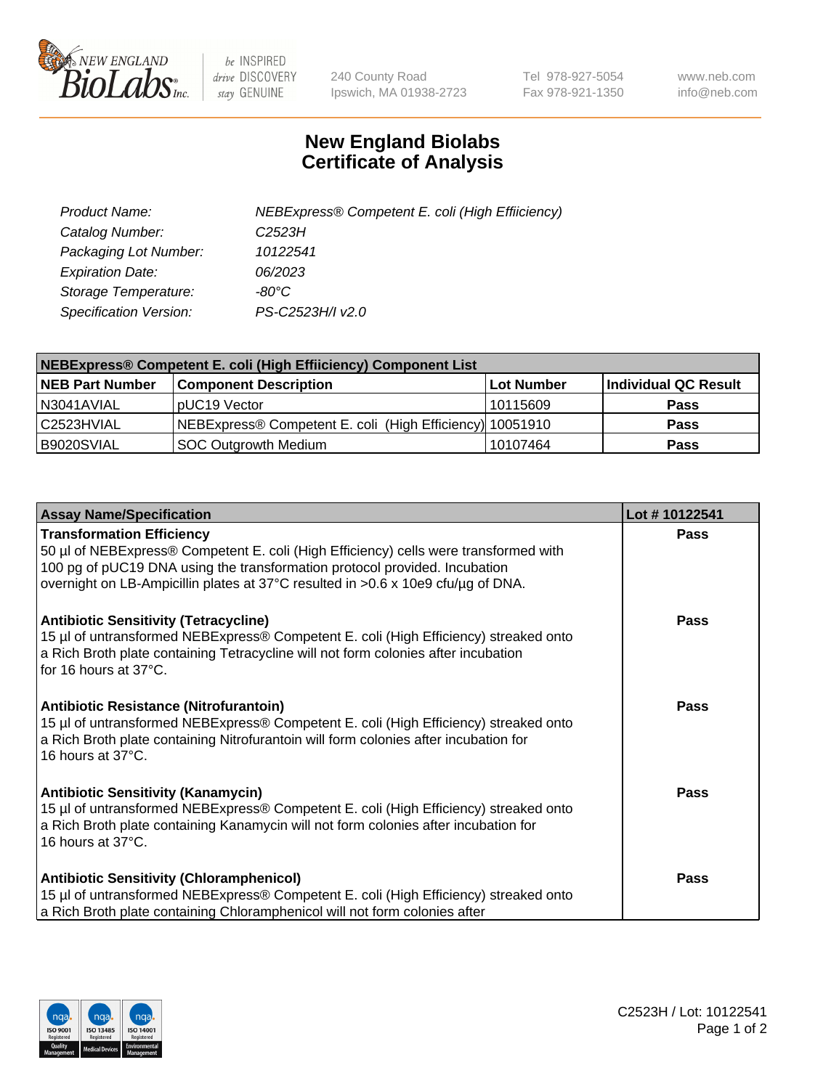

 $be$  INSPIRED drive DISCOVERY stay GENUINE

240 County Road Ipswich, MA 01938-2723 Tel 978-927-5054 Fax 978-921-1350 www.neb.com info@neb.com

## **New England Biolabs Certificate of Analysis**

| Product Name:           | NEBExpress® Competent E. coli (High Effiiciency) |
|-------------------------|--------------------------------------------------|
| Catalog Number:         | C <sub>2523</sub> H                              |
| Packaging Lot Number:   | 10122541                                         |
| <b>Expiration Date:</b> | <i>06/2023</i>                                   |
| Storage Temperature:    | -80°C                                            |
| Specification Version:  | PS-C2523H/I v2.0                                 |

| <b>NEBExpress® Competent E. coli (High Effiiciency) Component List</b> |                                                          |            |                      |  |
|------------------------------------------------------------------------|----------------------------------------------------------|------------|----------------------|--|
| <b>NEB Part Number</b>                                                 | <b>Component Description</b>                             | Lot Number | Individual QC Result |  |
| N3041AVIAL                                                             | pUC19 Vector                                             | 10115609   | <b>Pass</b>          |  |
| C <sub>2523</sub> HVIAL                                                | NEBExpress® Competent E. coli (High Efficiency) 10051910 |            | <b>Pass</b>          |  |
| B9020SVIAL                                                             | <b>SOC Outgrowth Medium</b>                              | 10107464   | <b>Pass</b>          |  |

| <b>Assay Name/Specification</b>                                                                                                                                                                                                                                                            | Lot #10122541 |
|--------------------------------------------------------------------------------------------------------------------------------------------------------------------------------------------------------------------------------------------------------------------------------------------|---------------|
| <b>Transformation Efficiency</b><br>50 µl of NEBExpress® Competent E. coli (High Efficiency) cells were transformed with<br>100 pg of pUC19 DNA using the transformation protocol provided. Incubation<br>overnight on LB-Ampicillin plates at 37°C resulted in >0.6 x 10e9 cfu/µg of DNA. | <b>Pass</b>   |
| <b>Antibiotic Sensitivity (Tetracycline)</b><br>15 µl of untransformed NEBExpress® Competent E. coli (High Efficiency) streaked onto<br>a Rich Broth plate containing Tetracycline will not form colonies after incubation<br>for 16 hours at $37^{\circ}$ C.                              | Pass          |
| <b>Antibiotic Resistance (Nitrofurantoin)</b><br>15 µl of untransformed NEBExpress® Competent E. coli (High Efficiency) streaked onto<br>a Rich Broth plate containing Nitrofurantoin will form colonies after incubation for<br>16 hours at $37^{\circ}$ C.                               | Pass          |
| <b>Antibiotic Sensitivity (Kanamycin)</b><br>15 µl of untransformed NEBExpress® Competent E. coli (High Efficiency) streaked onto<br>a Rich Broth plate containing Kanamycin will not form colonies after incubation for<br>16 hours at 37°C.                                              | <b>Pass</b>   |
| <b>Antibiotic Sensitivity (Chloramphenicol)</b><br>15 µl of untransformed NEBExpress® Competent E. coli (High Efficiency) streaked onto<br>a Rich Broth plate containing Chloramphenicol will not form colonies after                                                                      | Pass          |